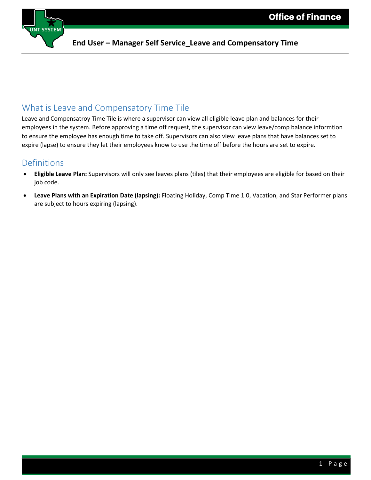

#### **End User – Manager Self Service\_Leave and Compensatory Time**

### What is Leave and Compensatory Time Tile

Leave and Compensatroy Time Tile is where a supervisor can view all eligible leave plan and balances for their employees in the system. Before approving a time off request, the supervisor can view leave/comp balance informtion to ensure the employee has enough time to take off. Supervisors can also view leave plans that have balances set to expire (lapse) to ensure they let their employees know to use the time off before the hours are set to expire.

#### Definitions

- **Eligible Leave Plan:** Supervisors will only see leaves plans (tiles) that their employees are eligible for based on their job code.
- **Leave Plans with an Expiration Date (lapsing):** Floating Holiday, Comp Time 1.0, Vacation, and Star Performer plans are subject to hours expiring (lapsing).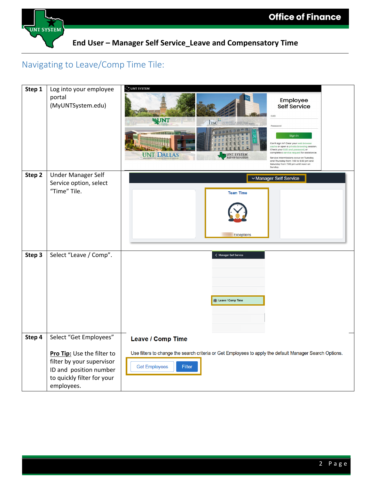

**End User – Manager Self Service\_Leave and Compensatory Time**

# Navigating to Leave/Comp Time Tile:

| Step 1 | Log into your employee<br>portal<br>(MyUNTSystem.edu)                                                                                                   | JUNT SYSTEM<br>Employee<br>Self Service<br>EUID<br><b>NUNT</b><br><b>hsc<sup>***</sup></b> THE UNIVERSITY of NORTH TEXAS<br>Password<br>红白丝红丝<br>Sign in<br>Can't sign in? Clear your web b<br>cache or open a private browsing session.<br>Check your EUID and password, or<br>complete a service request for assistance<br><b>UNT DALLAS</b><br><b>JNT SYSTEM</b><br>Administration<br>Service intermissions occur on Tuesday<br>and Thursday from 7:00 to 9:30 pm and<br>Saturday from 7:00 pm until noon on<br>Sunday. |
|--------|---------------------------------------------------------------------------------------------------------------------------------------------------------|----------------------------------------------------------------------------------------------------------------------------------------------------------------------------------------------------------------------------------------------------------------------------------------------------------------------------------------------------------------------------------------------------------------------------------------------------------------------------------------------------------------------------|
| Step 2 | Under Manager Self<br>Service option, select<br>"Time" Tile.                                                                                            | Manager Self Service<br><b>Team Time</b><br><b>Exceptions</b>                                                                                                                                                                                                                                                                                                                                                                                                                                                              |
| Step 3 | Select "Leave / Comp".                                                                                                                                  | < Manager Self Service<br>[8] Leave / Comp Time                                                                                                                                                                                                                                                                                                                                                                                                                                                                            |
| Step 4 | Select "Get Employees"<br>Pro Tip: Use the filter to<br>filter by your supervisor<br>ID and position number<br>to quickly filter for your<br>employees. | <b>Leave / Comp Time</b><br>Use filters to change the search criteria or Get Employees to apply the default Manager Search Options.<br><b>Get Employees</b><br>Filter                                                                                                                                                                                                                                                                                                                                                      |